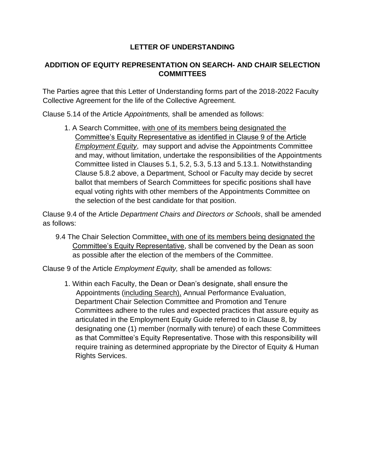## **LETTER OF UNDERSTANDING**

## **ADDITION OF EQUITY REPRESENTATION ON SEARCH- AND CHAIR SELECTION COMMITTEES**

The Parties agree that this Letter of Understanding forms part of the 2018-2022 Faculty Collective Agreement for the life of the Collective Agreement.

Clause 5.14 of the Article *Appointments,* shall be amended as follows:

1. A Search Committee, with one of its members being designated the Committee's Equity Representative as identified in Clause 9 of the Article *Employment Equity*, may support and advise the Appointments Committee and may, without limitation, undertake the responsibilities of the Appointments Committee listed in Clauses 5.1, 5.2, 5.3, 5.13 and 5.13.1. Notwithstanding Clause 5.8.2 above, a Department, School or Faculty may decide by secret ballot that members of Search Committees for specific positions shall have equal voting rights with other members of the Appointments Committee on the selection of the best candidate for that position.

Clause 9.4 of the Article *Department Chairs and Directors or Schools*, shall be amended as follows:

9.4 The Chair Selection Committee, with one of its members being designated the Committee's Equity Representative, shall be convened by the Dean as soon as possible after the election of the members of the Committee.

Clause 9 of the Article *Employment Equity,* shall be amended as follows:

1. Within each Faculty, the Dean or Dean's designate, shall ensure the Appointments (including Search), Annual Performance Evaluation, Department Chair Selection Committee and Promotion and Tenure Committees adhere to the rules and expected practices that assure equity as articulated in the Employment Equity Guide referred to in Clause 8, by designating one (1) member (normally with tenure) of each these Committees as that Committee's Equity Representative. Those with this responsibility will require training as determined appropriate by the Director of Equity & Human Rights Services.